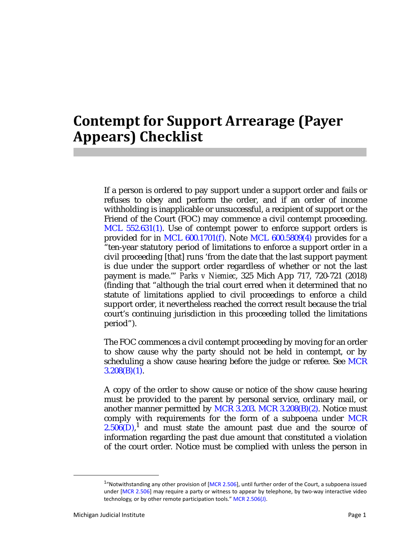## **Contempt for Support Arrearage (Payer Appears) Checklist**

If a person is ordered to pay support under a support order and fails or refuses to obey and perform the order, and if an order of income withholding is inapplicable or unsuccessful, a recipient of support or the Friend of the Court (FOC) may commence a civil contempt proceeding. MCL 552.631(1). Use of contempt power to enforce support orders is provided for in MCL 600.1701(f). Note MCL 600.5809(4) provides for a "ten-year statutory period of limitations to enforce a support order in a civil proceeding [that] runs 'from the date that the last support payment is due under the support order regardless of whether or not the last payment is made.'" *Parks v Niemiec*, 325 Mich App 717, 720-721 (2018) (finding that "although the trial court erred when it determined that no statute of limitations applied to civil proceedings to enforce a child support order, it nevertheless reached the correct result because the trial court's continuing jurisdiction in this proceeding tolled the limitations period").

The FOC commences a civil contempt proceeding by moving for an order to show cause why the party should not be held in contempt, or by scheduling a show cause hearing before the judge or referee. See MCR  $3.208(B)(1)$ .

A copy of the order to show cause or notice of the show cause hearing must be provided to the parent by personal service, ordinary mail, or another manner permitted by MCR 3.203. MCR 3.208 $(B)(2)$ . Notice must comply with requirements for the form of a subpoena under MCR  $2.506(D)$ ,<sup>1</sup> and must state the amount past due and the source of information regarding the past due amount that constituted a violation of the court order. Notice must be complied with unless the person in

 $1$ "Notwithstanding any other provision of [MCR 2.506], until further order of the Court, a subpoena issued under [MCR 2.506] may require a party or witness to appear by telephone, by two-way interactive video technology, or by other remote participation tools." MCR 2.506(J).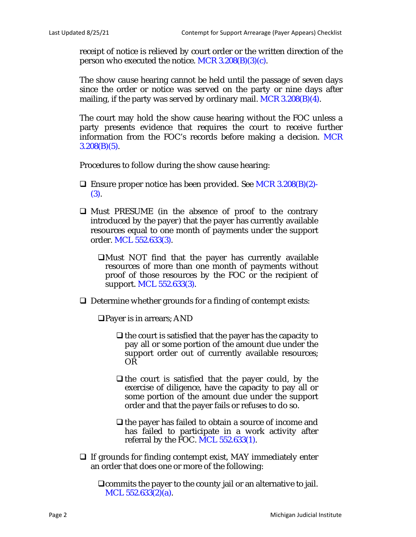receipt of notice is relieved by court order or the written direction of the person who executed the notice. MCR  $3.208(B)(3)(c)$ .

The show cause hearing cannot be held until the passage of seven days since the order or notice was served on the party or nine days after mailing, if the party was served by ordinary mail. MCR 3.208(B)(4).

The court may hold the show cause hearing without the FOC unless a party presents evidence that requires the court to receive further information from the FOC's records before making a decision. MCR  $3.208(B)(5)$ .

Procedures to follow during the show cause hearing:

- **Ensure proper notice has been provided. See MCR 3.208(B)(2)-**(3).
- $\Box$  Must PRESUME (in the absence of proof to the contrary introduced by the payer) that the payer has currently available resources equal to one month of payments under the support order. MCL 552.633(3).
	- $\Box$ Must NOT find that the payer has currently available resources of more than one month of payments without proof of those resources by the FOC or the recipient of support. MCL 552.633(3).
- $\Box$  Determine whether grounds for a finding of contempt exists:

Payer is in arrears; AND

- $\Box$  the court is satisfied that the payer has the capacity to pay all or some portion of the amount due under the support order out of currently available resources; OR
- $\Box$  the court is satisfied that the payer could, by the exercise of diligence, have the capacity to pay all or some portion of the amount due under the support order and that the payer fails or refuses to do so.
- $\Box$  the payer has failed to obtain a source of income and has failed to participate in a work activity after referral by the FOC. MCL 552.633(1).
- $\Box$  If grounds for finding contempt exist, MAY immediately enter an order that does one or more of the following:

commits the payer to the county jail or an alternative to jail. MCL 552.633(2)(a).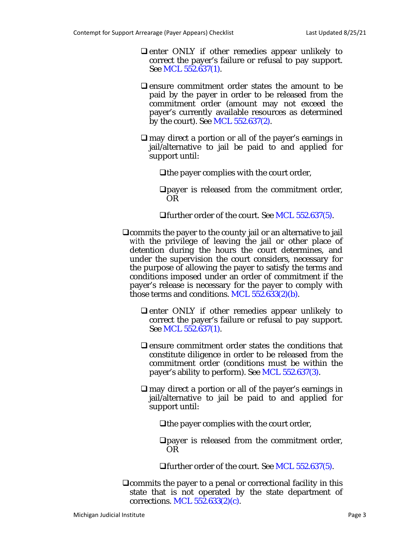- $\Box$  enter ONLY if other remedies appear unlikely to correct the payer's failure or refusal to pay support. See MCL 552.637(1).
- $\Box$  ensure commitment order states the amount to be paid by the payer in order to be released from the commitment order (amount may not exceed the payer's currently available resources as determined by the court). See MCL 552.637(2).
- $\Box$  may direct a portion or all of the payer's earnings in jail/alternative to jail be paid to and applied for support until:
	- $\Box$  the payer complies with the court order,
	- payer is released from the commitment order, OR
	- **□**further order of the court. See MCL 552.637(5).
- commits the payer to the county jail or an alternative to jail *with* the privilege of leaving the jail or other place of detention during the hours the court determines, and under the supervision the court considers, necessary for the purpose of allowing the payer to satisfy the terms and conditions imposed under an order of commitment if the payer's release is necessary for the payer to comply with those terms and conditions. MCL 552.633(2)(b).
	- $\Box$  enter ONLY if other remedies appear unlikely to correct the payer's failure or refusal to pay support. See MCL 552.637(1).
	- $\Box$  ensure commitment order states the conditions that constitute diligence in order to be released from the commitment order (conditions must be within the payer's ability to perform). See MCL 552.637(3).
	- $\Box$  may direct a portion or all of the payer's earnings in jail/alternative to jail be paid to and applied for support until:
		- $\Box$  the payer complies with the court order,

payer is released from the commitment order, OR

further order of the court. See MCL 552.637(5).

 $\Box$ commits the payer to a penal or correctional facility in this state that is not operated by the state department of corrections. MCL 552.633(2)(c).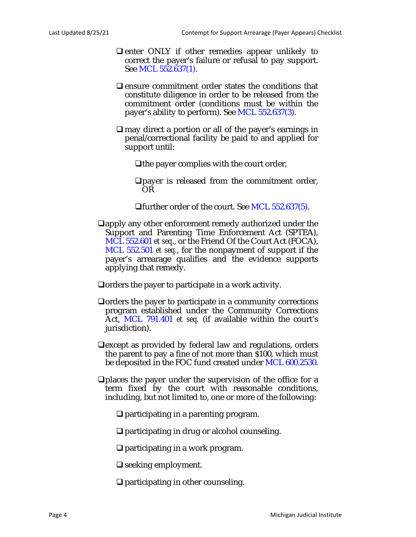- $\Box$  enter ONLY if other remedies appear unlikely to correct the payer's failure or refusal to pay support. See MCL 552.637(1).
- $\Box$  ensure commitment order states the conditions that constitute diligence in order to be released from the commitment order (conditions must be within the payer's ability to perform). See MCL 552.637(3).
- $\Box$  may direct a portion or all of the payer's earnings in penal/correctional facility be paid to and applied for support until:
	- The payer complies with the court order,
	- payer is released from the commitment order, OR
	- further order of the court. See MCL 552.637(5).
- $\Box$ apply any other enforcement remedy authorized under the Support and Parenting Time Enforcement Act (SPTEA), MCL 552.601 *et seq*., or the Friend Of the Court Act (FOCA), MCL 552.501 *et seq*., for the nonpayment of support if the payer's arrearage qualifies and the evidence supports applying that remedy.
- $\Box$  orders the payer to participate in a work activity.
- $\Box$  orders the payer to participate in a community corrections program established under the Community Corrections Act, MCL 791.401 *et seq.* (if available within the court's jurisdiction).
- $\Box$  except as provided by federal law and regulations, orders the parent to pay a fine of not more than \$100, which must be deposited in the FOC fund created under MCL 600.2530.
- $\Box$  places the payer under the supervision of the office for a term fixed by the court with reasonable conditions, including, but not limited to, one or more of the following:
	- $\Box$  participating in a parenting program.
	- $\Box$  participating in drug or alcohol counseling.
	- $\Box$  participating in a work program.
	- $\Box$  seeking employment.
	- $\Box$  participating in other counseling.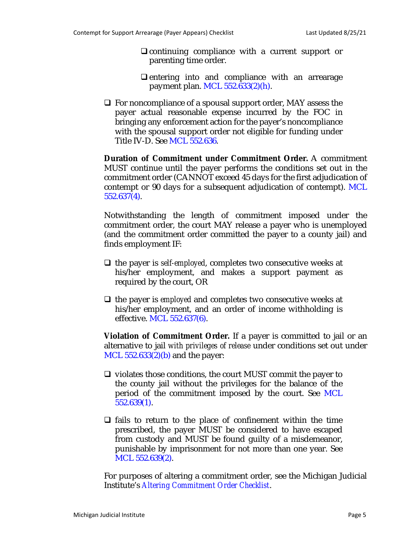- $\Box$  continuing compliance with a current support or parenting time order.
- $\Box$  entering into and compliance with an arrearage payment plan. MCL 552.633(2)(h).
- $\Box$  For noncompliance of a spousal support order, MAY assess the payer actual reasonable expense incurred by the FOC in bringing any enforcement action for the payer's noncompliance with the spousal support order not eligible for funding under Title IV-D. See MCL 552.636.

**Duration of Commitment under Commitment Order.** A commitment MUST continue until the payer performs the conditions set out in the commitment order (CANNOT exceed 45 days for the first adjudication of contempt or 90 days for a subsequent adjudication of contempt). MCL 552.637(4).

Notwithstanding the length of commitment imposed under the commitment order, the court MAY release a payer who is unemployed (and the commitment order committed the payer to a county jail) and finds employment IF:

- $\Box$  the payer is *self-employed*, completes two consecutive weeks at his/her employment, and makes a support payment as required by the court, OR
- $\Box$  the payer is *employed* and completes two consecutive weeks at his/her employment, and an order of income withholding is effective. MCL 552.637(6).

**Violation of Commitment Order.** If a payer is committed to jail or an alternative to jail *with privileges of release* under conditions set out under MCL  $552.633(2)(b)$  and the payer:

- $\Box$  violates those conditions, the court MUST commit the payer to the county jail without the privileges for the balance of the period of the commitment imposed by the court. See MCL 552.639(1).
- $\Box$  fails to return to the place of confinement within the time prescribed, the payer MUST be considered to have escaped from custody and MUST be found guilty of a misdemeanor, punishable by imprisonment for not more than one year. See MCL 552.639(2).

For purposes of altering a commitment order, see the Michigan Judicial Institute's *Altering Commitment Order Checklist*.